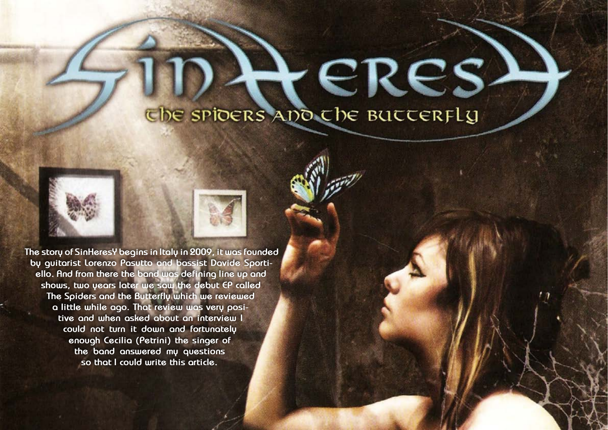

# UDA CRES





**The story of SinHeresY begins in Italy in 2009, it was founded by guitarist Lorenzo Pasutto and bassist Davide Sportiello. And from there the band was defining line up and shows, two years later we saw the debut EP called The Spiders and the Butterfly which we reviewed a little while ago. That review was very positive and when asked about an interview I could not turn it down and fortunately enough Cecilia (Petrini) the singer of the band answered my questions so that I could write this article.**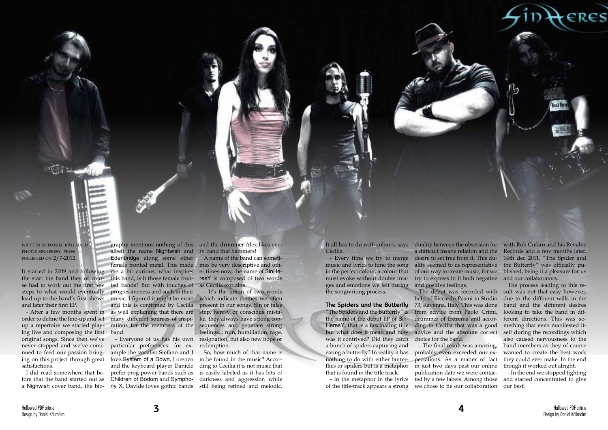written by daniel källmalm photo: sinheresy press published on 2/7-2012

se had to work out the first few steps to what would eventually and later their first EP.

I did read somewhere that before that the band started out as a Nighwish cover band, the bio- ny X, Davide loves gothic bands still being refined and melodic.

order to define the line-up and set up a repertoire we started playing live and composing the first band. original songs. Since then we've never stopped and we've continued to feed our passion bringsatisfactions.

It started in 2009 and following me a bit curious, what inspires the start the band they of cour-this band, is it those female fronlead up to the band's first shows music, I figured it might be more which indicate themes we often - After a few months spent in as well explaining that there are albeit the name Nightwish and Edenbridge along some other female fronted metal. This made ted bands? But with touches of progressiveness and such in their and this is confirmed by Cecilia many different sources of inspirations for the members of the

ing on this project through great love System of a Down, Lorenzo particular preferences: for example the vocalist Stefano and I and the keyboard player Daniele prefer prog-power bands such as Children of Bodom and Sympho-

graphy mentions nothing of this and the drummer Alex likes every band that hammers!

- Everyone of us has his own resignation, but also new hope or - It's the union of two words present in our songs. Sin or false step, heresy or conscious mistake, they always have strong consequences and generate strong feelings... ruin, humiliation, rage, redemption.

A name of the band can sometimes be very descriptive and other times now, the name of SinHeresY is composed of two words as Cecilia explains.

So, how much of that name is to be found in the music? According to Cecilia it is not music that is easily labeled as it has bits of darkness and aggression while Cecilia.

- Every time we try to merge music and lyrics to tune the song in the perfect colour, a colour that must evoke without doubts images and emotions we felt during the songwriting process.

# **The Spiders and the Butterfly**

was it contrived? Did they catch choice for the band. a bunch of spiders capturing and eating a butterfly? In reality it has probably even exceeded our exthat is found in the title track.

"The Spiders and the Butterfly" is from advice from Paolo Crimi, the name of the debut EP of Sin-drummer of Extrema and accor-HeresY, that is a fascinating title ding to Cecilia that was a good but what does it mean and how advice and the absolute correct help of Riccardo Pasini in Studio 73, Ravenna, Italy. This was done

It all has to do with colours, says duality between the obsession for with Rob Cufaro and his Revalve

a difficult insane relation and the desire to set free from it. This duality seemed to us representative the Butterfly" was officially puof our way to create music, for we blished, being it a pleasure for us try to express in it both negative and our collaborators. and positive feelings. The debut was recorded with

nothing to do with either butter-pectations. As a matter of fact flies or spiders but is a metaphor in just two days past our online - In the metaphor in the lyrics ted by a few labels. Among those of the title-track appears a strong we chose to tie our collaboration our best. - The final result was amazing, publication date we were contac-

Records and a few months later, 14th dec 2011, "The Spider and

The process leading to this result was not that easy however, due to the different wills in the band and the different desires looking to take the band in different directions. This was something that even manifested itself during the recordings which also caused nervousness to the band members as they of course wanted to create the best work they could ever make. In the end though it worked out alright.

- In the end we stopped fighting and started concentrated to give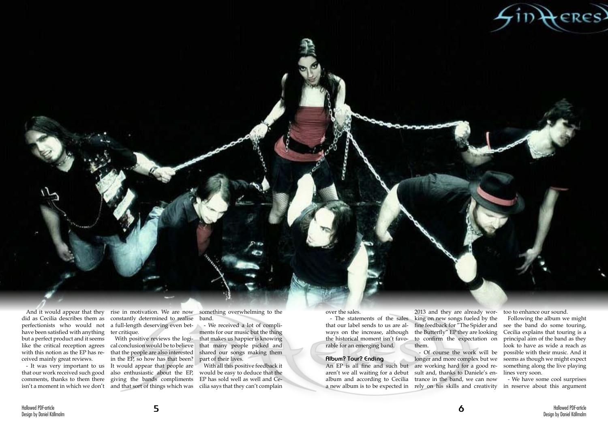

And it would appear that they did as Cecilia describes them as perfectionists who would not have been satisfied with anything but a perfect product and it seems like the critical reception agrees with this notion as the EP has received mainly great reviews.

constantly determined to realise band. a full-length deserving even better critique.

- It was very important to us that our work received such good comments, thanks to them there isn't a moment in which we don't and that sort of things which was

rise in motivation. We are now something overwhelming to the

With positive reviews the logical conclusion would be to believe that the people are also interested in the EP, so how has that been? It would appear that people are also enthusiastic about the EP, giving the bands compliments

a new album is to be expected in rely on his skills and creativity in reserve about this argument - Of course the work will be longer and more complex but we sult and, thanks to Daniele's en-

- We received a lot of compliments for our music but the thing that makes us happier is knowing that many people picked and shared our songs making them part of their lives.

With all this positive feedback it would be easy to deduce that the EP has sold well as well and Cecilia says that they can't complain

## over the sales.

- The statements of the sales that our label sends to us are always on the increase, although the historical moment isn't favorable for an emerging band.

# **Album? Tour? Ending**

2013 and they are already working on new songs fueled by the fine feedback for "The Spider and the Butterfly" EP they are looking to confirm the expectation on them.

An EP is all fine and such but are working hard for a good rearen't we all waiting for a debut album and according to Cecilia trance in the band, we can now

too to enhance our sound.

Following the album we might see the band do some touring, Cecilia explains that touring is a principal aim of the band as they look to have as wide a reach as possible with their music. And it seems as though we might expect something along the live playing lines very soon.

- We have some cool surprises